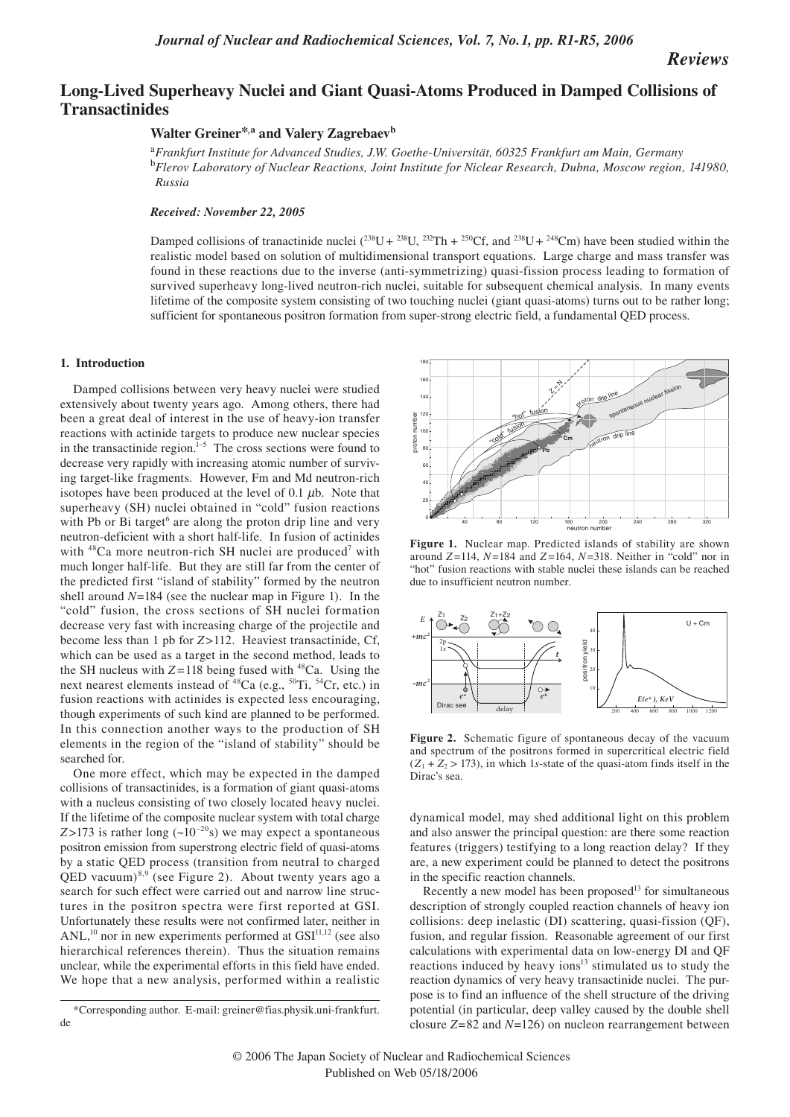*Reviews*

# **Long-Lived Superheavy Nuclei and Giant Quasi-Atoms Produced in Damped Collisions of Transactinides**

# **Walter Greiner\*,a and Valery Zagrebaev<sup>b</sup>**

<sup>a</sup>*Frankfurt Institute for Advanced Studies, J.W. Goethe-Universität, 60325 Frankfurt am Main, Germany*  <sup>b</sup>*Flerov Laboratory of Nuclear Reactions, Joint Institute for Niclear Research, Dubna, Moscow region, 141980, Russia* 

### *Received: November 22, 2005*

Damped collisions of tranactinide nuclei  $(^{238}U + ^{238}U, ^{232}Th + ^{250}Cf,$  and  $^{238}U + ^{248}Cm)$  have been studied within the realistic model based on solution of multidimensional transport equations. Large charge and mass transfer was found in these reactions due to the inverse (anti-symmetrizing) quasi-fission process leading to formation of survived superheavy long-lived neutron-rich nuclei, suitable for subsequent chemical analysis. In many events lifetime of the composite system consisting of two touching nuclei (giant quasi-atoms) turns out to be rather long; sufficient for spontaneous positron formation from super-strong electric field, a fundamental QED process.

#### **1. Introduction**

Damped collisions between very heavy nuclei were studied extensively about twenty years ago. Among others, there had been a great deal of interest in the use of heavy-ion transfer reactions with actinide targets to produce new nuclear species in the transactinide region. $1-5$  The cross sections were found to decrease very rapidly with increasing atomic number of surviving target-like fragments. However, Fm and Md neutron-rich isotopes have been produced at the level of  $0.1 \mu b$ . Note that superheavy (SH) nuclei obtained in "cold" fusion reactions with Pb or Bi target<sup>6</sup> are along the proton drip line and very neutron-deficient with a short half-life. In fusion of actinides with  $48$ Ca more neutron-rich SH nuclei are produced<sup>7</sup> with much longer half-life. But they are still far from the center of the predicted first "island of stability" formed by the neutron shell around *N*=184 (see the nuclear map in Figure 1). In the "cold" fusion, the cross sections of SH nuclei formation decrease very fast with increasing charge of the projectile and become less than 1 pb for *Z*>112. Heaviest transactinide, Cf, which can be used as a target in the second method, leads to the SH nucleus with  $Z = 118$  being fused with <sup>48</sup>Ca. Using the next nearest elements instead of <sup>48</sup>Ca (e.g., <sup>50</sup>Ti, <sup>54</sup>Cr, etc.) in fusion reactions with actinides is expected less encouraging, though experiments of such kind are planned to be performed. In this connection another ways to the production of SH elements in the region of the "island of stability" should be searched for.

One more effect, which may be expected in the damped collisions of transactinides, is a formation of giant quasi-atoms with a nucleus consisting of two closely located heavy nuclei. If the lifetime of the composite nuclear system with total charge *Z*>173 is rather long  $(-10^{-20}s)$  we may expect a spontaneous positron emission from superstrong electric field of quasi-atoms by a static QED process (transition from neutral to charged  $QED$  vacuum)<sup>8,9</sup> (see Figure 2). About twenty years ago a search for such effect were carried out and narrow line structures in the positron spectra were first reported at GSI. Unfortunately these results were not confirmed later, neither in  $ANL$ ,<sup>10</sup> nor in new experiments performed at  $GSI<sup>11,12</sup>$  (see also hierarchical references therein). Thus the situation remains unclear, while the experimental efforts in this field have ended. We hope that a new analysis, performed within a realistic



**Figure 1.** Nuclear map. Predicted islands of stability are shown around *Z* =114, *N*=184 and *Z* =164, *N*=318. Neither in "cold" nor in "hot" fusion reactions with stable nuclei these islands can be reached due to insufficient neutron number.



**Figure 2.** Schematic figure of spontaneous decay of the vacuum and spectrum of the positrons formed in supercritical electric field  $(Z_1 + Z_2 > 173)$ , in which 1*s*-state of the quasi-atom finds itself in the Dirac's sea.

dynamical model, may shed additional light on this problem and also answer the principal question: are there some reaction features (triggers) testifying to a long reaction delay? If they are, a new experiment could be planned to detect the positrons in the specific reaction channels.

Recently a new model has been proposed $13$  for simultaneous description of strongly coupled reaction channels of heavy ion collisions: deep inelastic (DI) scattering, quasi-fission (QF), fusion, and regular fission. Reasonable agreement of our first calculations with experimental data on low-energy DI and QF reactions induced by heavy ions $13$  stimulated us to study the reaction dynamics of very heavy transactinide nuclei. The purpose is to find an influence of the shell structure of the driving potential (in particular, deep valley caused by the double shell closure *Z*=82 and *N*=126) on nucleon rearrangement between

<sup>\*</sup>Corresponding author. E-mail: greiner@fias.physik.uni-frankfurt. de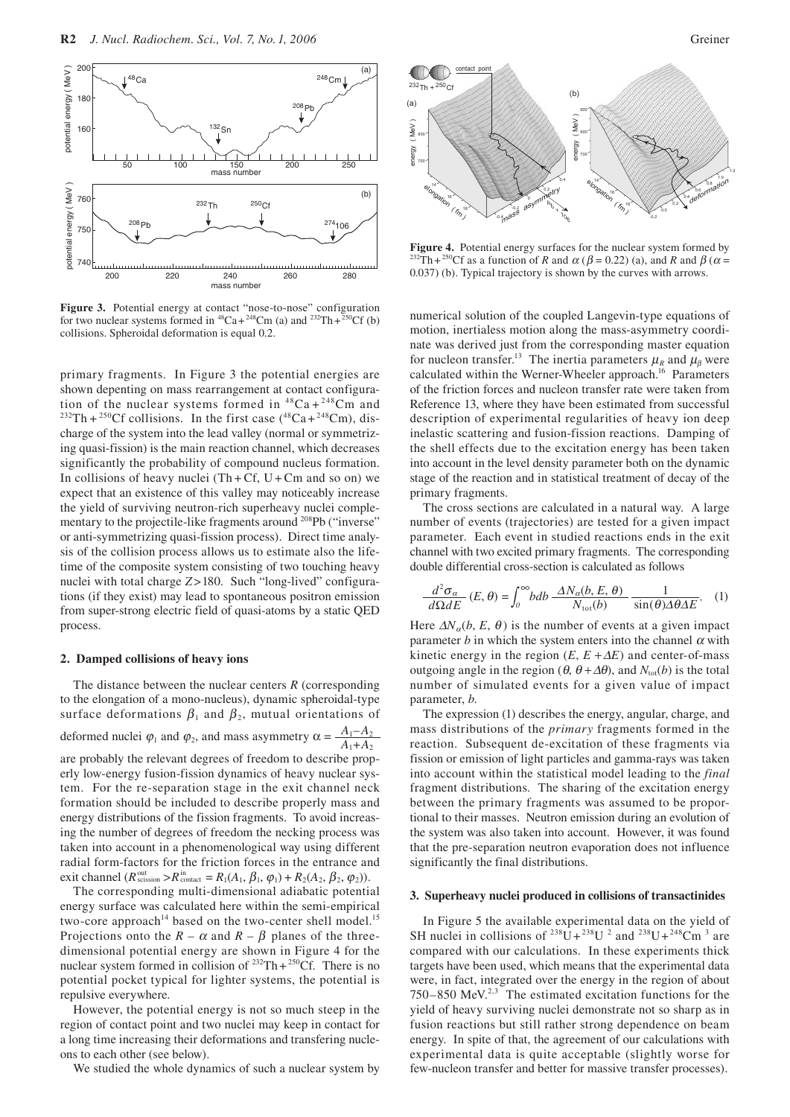

**Figure 3.** Potential energy at contact "nose-to-nose" configuration for two nuclear systems formed in  ${}^{48}Ca + {}^{248}Cm$  (a) and  ${}^{232}Th + {}^{250}Cf$  (b) collisions. Spheroidal deformation is equal 0.2.

primary fragments. In Figure 3 the potential energies are shown depenting on mass rearrangement at contact configura-<br>tion of the nuclear systems formed in  ${}^{48}Ca + {}^{248}Cm$  and <sup>232</sup>Th + <sup>250</sup>Cf collisions. In the first case (<sup>48</sup>Ca + <sup>248</sup>Cm), discharge of the system into the lead valley (normal or symmetrizing quasi-fission) is the main reaction channel, which decreases significantly the probability of compound nucleus formation. In collisions of heavy nuclei  $(Th + Cf, U + Cm$  and so on) we expect that an existence of this valley may noticeably increase the yield of surviving neutron-rich superheavy nuclei complementary to the projectile-like fragments around <sup>208</sup>Pb ("inverse" or anti-symmetrizing quasi-fission process). Direct time analysis of the collision process allows us to estimate also the lifetime of the composite system consisting of two touching heavy nuclei with total charge *Z*>180. Such "long-lived" configurations (if they exist) may lead to spontaneous positron emission from super-strong electric field of quasi-atoms by a static QED process.

#### **2. Damped collisions of heavy ions**

The distance between the nuclear centers *R* (corresponding to the elongation of a mono-nucleus), dynamic spheroidal-type surface deformations  $\beta_1$  and  $\beta_2$ , mutual orientations of deformed nuclei  $\varphi_1$  and  $\varphi_2$ , and mass asymmetry  $\alpha = \frac{A_1 - A_2}{A_1 + A_2}$ are probably the relevant degrees of freedom to describe properly low-energy fusion-fission dynamics of heavy nuclear system. For the re-separation stage in the exit channel neck formation should be included to describe properly mass and energy distributions of the fission fragments. To avoid increasing the number of degrees of freedom the necking process was taken into account in a phenomenological way using different radial form-factors for the friction forces in the entrance and exit channel  $(R_{\text{scission}}^{\text{out}} > R_{\text{contact}}^{\text{in}} = R_1(A_1, \beta_1, \varphi_1) + R_2(A_2, \beta_2, \varphi_2)).$ 

The corresponding multi-dimensional adiabatic potential energy surface was calculated here within the semi-empirical two-core approach<sup>14</sup> based on the two-center shell model.<sup>15</sup> Projections onto the  $R - \alpha$  and  $R - \beta$  planes of the threedimensional potential energy are shown in Figure 4 for the nuclear system formed in collision of  $^{232}Th+^{250}CF$ . There is no potential pocket typical for lighter systems, the potential is repulsive everywhere.

However, the potential energy is not so much steep in the region of contact point and two nuclei may keep in contact for a long time increasing their deformations and transfering nucleons to each other (see below).

We studied the whole dynamics of such a nuclear system by



**Figure 4.** Potential energy surfaces for the nuclear system formed by <sup>232</sup>Th + <sup>250</sup>Cf as a function of *R* and  $\alpha$  ( $\beta$  = 0.22) (a), and *R* and  $\beta$  ( $\alpha$  = 0.037) (b). Typical trajectory is shown by the curves with arrows.

numerical solution of the coupled Langevin-type equations of motion, inertialess motion along the mass-asymmetry coordinate was derived just from the corresponding master equation for nucleon transfer.<sup>13</sup> The inertia parameters  $\mu_R$  and  $\mu_B$  were calculated within the Werner-Wheeler approach.<sup>16</sup> Parameters of the friction forces and nucleon transfer rate were taken from Reference 13, where they have been estimated from successful description of experimental regularities of heavy ion deep inelastic scattering and fusion-fission reactions. Damping of the shell effects due to the excitation energy has been taken into account in the level density parameter both on the dynamic stage of the reaction and in statistical treatment of decay of the primary fragments.

The cross sections are calculated in a natural way. A large number of events (trajectories) are tested for a given impact parameter. Each event in studied reactions ends in the exit channel with two excited primary fragments. The corresponding double differential cross-section is calculated as follows

$$
\frac{d^2\sigma_{\alpha}}{d\Omega dE}(E,\theta) = \int_0^{\infty} bdb \frac{\Delta N_{\alpha}(b,E,\theta)}{N_{\text{tot}}(b)} \frac{1}{\sin(\theta)\Delta\theta\Delta E}.
$$
 (1)

Here  $\Delta N_a(b, E, \theta)$  is the number of events at a given impact parameter *b* in which the system enters into the channel  $\alpha$  with kinetic energy in the region  $(E, E + \Delta E)$  and center-of-mass outgoing angle in the region ( $\theta$ ,  $\theta + Δ\theta$ ), and  $N_{tot}(b)$  is the total number of simulated events for a given value of impact parameter, *b*.

The expression (1) describes the energy, angular, charge, and mass distributions of the *primary* fragments formed in the reaction. Subsequent de-excitation of these fragments via fission or emission of light particles and gamma-rays was taken into account within the statistical model leading to the *final*  fragment distributions. The sharing of the excitation energy between the primary fragments was assumed to be proportional to their masses. Neutron emission during an evolution of the system was also taken into account. However, it was found that the pre-separation neutron evaporation does not influence significantly the final distributions.

#### **3. Superheavy nuclei produced in collisions of transactinides**

In Figure 5 the available experimental data on the yield of SH nuclei in collisions of <sup>238</sup>U + <sup>238</sup>U <sup>2</sup> and <sup>238</sup>U + <sup>248</sup>Cm<sup>3</sup> are compared with our calculations. In these experiments thick targets have been used, which means that the experimental data were, in fact, integrated over the energy in the region of about  $750-850$  MeV.<sup>2,3</sup> The estimated excitation functions for the yield of heavy surviving nuclei demonstrate not so sharp as in fusion reactions but still rather strong dependence on beam energy. In spite of that, the agreement of our calculations with experimental data is quite acceptable (slightly worse for few-nucleon transfer and better for massive transfer processes).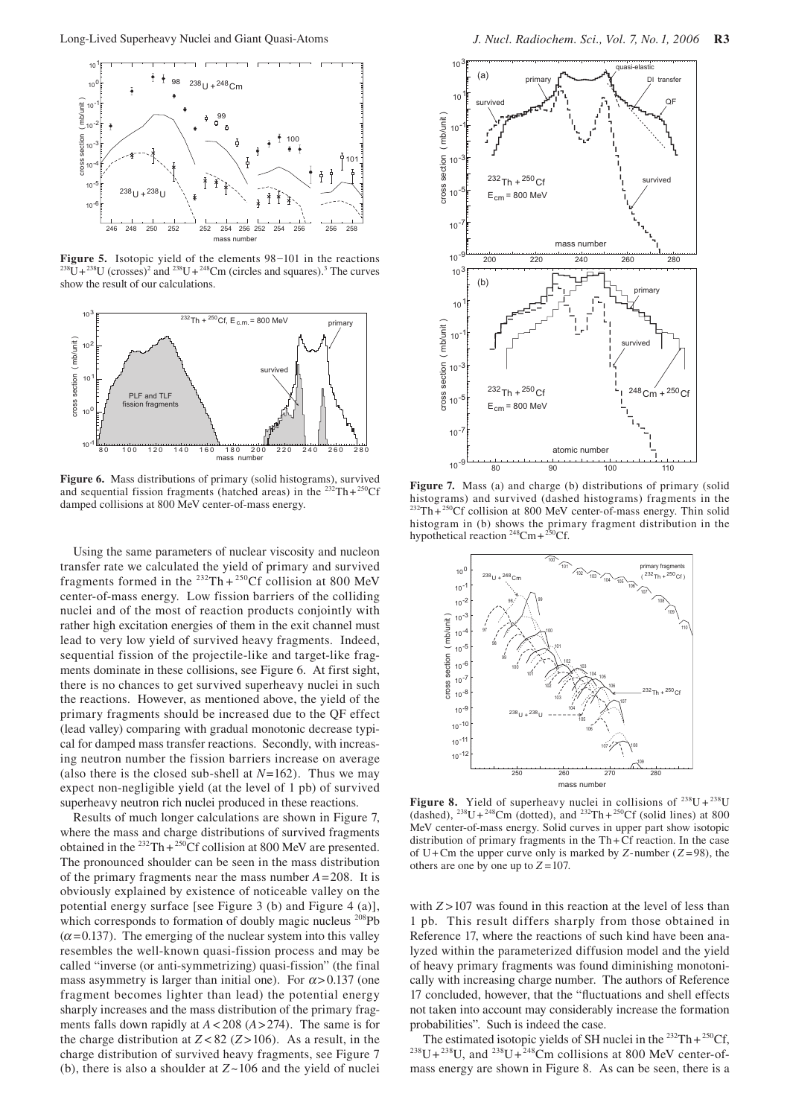

**Figure 5.** Isotopic yield of the elements 98–101 in the reactions and  $^{238}U+^{248}Cm$  (circles and squares).<sup>3</sup> The curves show the result of our calculations.



**Figure 6.** Mass distributions of primary (solid histograms), survived and sequential fission fragments (hatched areas) in the  $^{232}Th+^{250}Cf$ damped collisions at 800 MeV center-of-mass energy.

Using the same parameters of nuclear viscosity and nucleon transfer rate we calculated the yield of primary and survived fragments formed in the  $^{232}Th + ^{250}Cf$  collision at 800 MeV center-of-mass energy. Low fission barriers of the colliding nuclei and of the most of reaction products conjointly with rather high excitation energies of them in the exit channel must lead to very low yield of survived heavy fragments. Indeed, sequential fission of the projectile-like and target-like fragments dominate in these collisions, see Figure 6. At first sight, there is no chances to get survived superheavy nuclei in such the reactions. However, as mentioned above, the yield of the primary fragments should be increased due to the QF effect (lead valley) comparing with gradual monotonic decrease typical for damped mass transfer reactions. Secondly, with increasing neutron number the fission barriers increase on average (also there is the closed sub-shell at *N*=162). Thus we may expect non-negligible yield (at the level of 1 pb) of survived superheavy neutron rich nuclei produced in these reactions.

Results of much longer calculations are shown in Figure 7, where the mass and charge distributions of survived fragments obtained in the  $^{232}Th+^{250}CF$  collision at 800 MeV are presented. The pronounced shoulder can be seen in the mass distribution of the primary fragments near the mass number *A*=208. It is obviously explained by existence of noticeable valley on the potential energy surface [see Figure 3 (b) and Figure 4 (a)], which corresponds to formation of doubly magic nucleus <sup>208</sup>Pb  $(\alpha = 0.137)$ . The emerging of the nuclear system into this valley resembles the well-known quasi-fission process and may be called "inverse (or anti-symmetrizing) quasi-fission" (the final mass asymmetry is larger than initial one). For  $\alpha$  > 0.137 (one fragment becomes lighter than lead) the potential energy sharply increases and the mass distribution of the primary fragments falls down rapidly at *A* < 208 (*A*>274). The same is for the charge distribution at  $Z < 82$  ( $Z > 106$ ). As a result, in the charge distribution of survived heavy fragments, see Figure 7 (b), there is also a shoulder at *Z ~*106 and the yield of nuclei



**Figure 7.** Mass (a) and charge (b) distributions of primary (solid histograms) and survived (dashed histograms) fragments in the  $232$ Th $+250$ Cf collision at 800 MeV center-of-mass energy. Thin solid histogram in (b) shows the primary fragment distribution in the hypothetical reaction  $248$ Cm +  $250$ Cf.



**Figure 8.** Yield of superheavy nuclei in collisions of  $^{238}U + ^{238}U$ (dashed),  $^{238}U + ^{248}Cm$  (dotted), and  $^{232}Th + ^{250}Cf$  (solid lines) at 800 MeV center-of-mass energy. Solid curves in upper part show isotopic distribution of primary fragments in the Th + Cf reaction. In the case of U+Cm the upper curve only is marked by *Z*-number  $(Z=98)$ , the others are one by one up to  $Z = 107$ .

with  $Z > 107$  was found in this reaction at the level of less than 1 pb. This result differs sharply from those obtained in Reference 17, where the reactions of such kind have been analyzed within the parameterized diffusion model and the yield of heavy primary fragments was found diminishing monotonically with increasing charge number. The authors of Reference 17 concluded, however, that the "fluctuations and shell effects not taken into account may considerably increase the formation

probabilities". Such is indeed the case.<br>The estimated isotopic yields of SH nuclei in the  $232 \text{Th} + 250 \text{Cf}$ ,  $238U+238U$ , and  $238U+\frac{248}{2}Cm$  collisions at 800 MeV center-ofmass energy are shown in Figure 8. As can be seen, there is a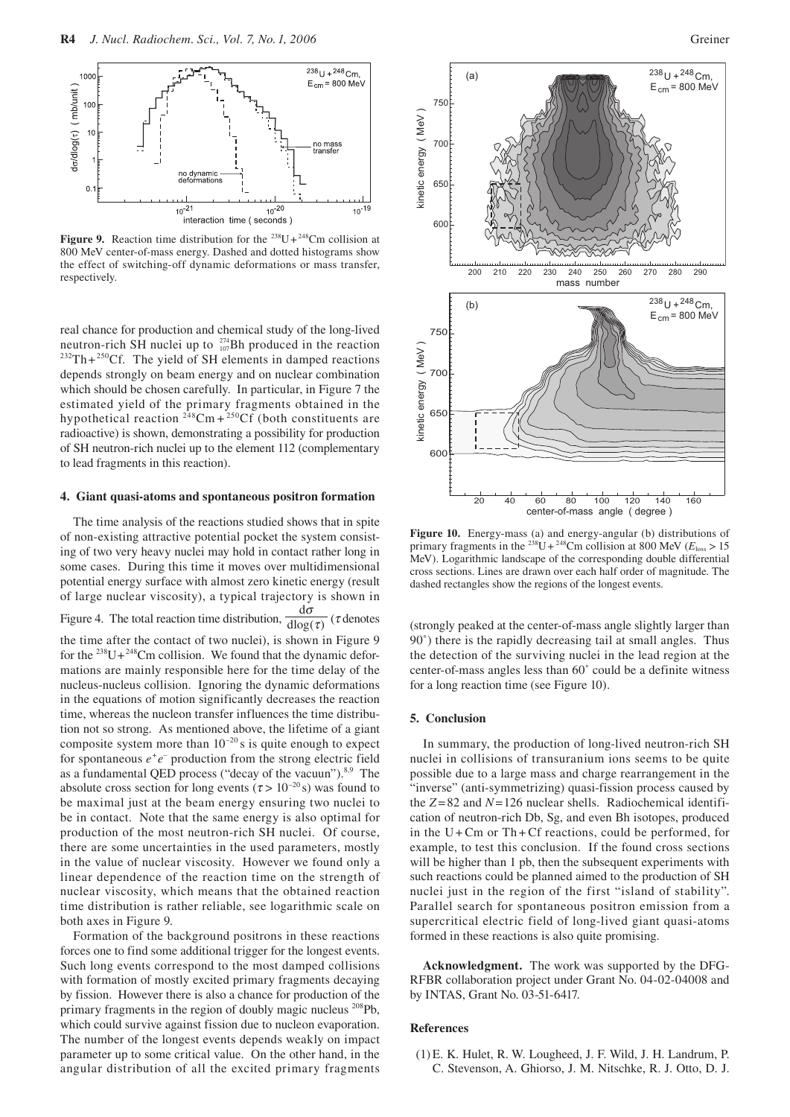

**Figure 9.** Reaction time distribution for the  $^{238}U+^{248}Cm$  collision at 800 MeV center-of-mass energy. Dashed and dotted histograms show the effect of switching-off dynamic deformations or mass transfer, respectively.

real chance for production and chemical study of the long-lived neutron-rich SH nuclei up to  $^{274}_{107}$ Bh produced in the reaction  $10^{232}Th + 250$ Cf. The yield of SH elements in damped reactions depends strongly on beam energy and on nuclear combination which should be chosen carefully. In particular, in Figure 7 the estimated yield of the primary fragments obtained in the hypothetical reaction  $248$ Cm +  $250$ Cf (both constituents are radioactive) is shown, demonstrating a possibility for production of SH neutron-rich nuclei up to the element 112 (complementary to lead fragments in this reaction).

#### **4. Giant quasi-atoms and spontaneous positron formation**

The time analysis of the reactions studied shows that in spite of non-existing attractive potential pocket the system consisting of two very heavy nuclei may hold in contact rather long in some cases. During this time it moves over multidimensional potential energy surface with almost zero kinetic energy (result of large nuclear viscosity), a typical trajectory is shown in Figure 4. The total reaction time distribution,  $\frac{d\mathbf{u}}{d\log(\tau)}$  (*t* denotes d<sup>σ</sup> the time after the contact of two nuclei), is shown in Figure 9 for the  $^{238}U+^{248}Cm$  collision. We found that the dynamic deformations are mainly responsible here for the time delay of the nucleus-nucleus collision. Ignoring the dynamic deformations in the equations of motion significantly decreases the reaction time, whereas the nucleon transfer influences the time distribution not so strong. As mentioned above, the lifetime of a giant composite system more than  $10^{-20}$  s is quite enough to expect for spontaneous  $e^+e^-$  production from the strong electric field as a fundamental QED process ("decay of the vacuun").<sup>8,9</sup> The absolute cross section for long events ( $\tau > 10^{-20}$  s) was found to be maximal just at the beam energy ensuring two nuclei to be in contact. Note that the same energy is also optimal for production of the most neutron-rich SH nuclei. Of course, there are some uncertainties in the used parameters, mostly in the value of nuclear viscosity. However we found only a linear dependence of the reaction time on the strength of nuclear viscosity, which means that the obtained reaction time distribution is rather reliable, see logarithmic scale on both axes in Figure 9.

Formation of the background positrons in these reactions forces one to find some additional trigger for the longest events. Such long events correspond to the most damped collisions with formation of mostly excited primary fragments decaying by fission. However there is also a chance for production of the primary fragments in the region of doubly magic nucleus 208Pb, which could survive against fission due to nucleon evaporation. The number of the longest events depends weakly on impact parameter up to some critical value. On the other hand, in the angular distribution of all the excited primary fragments



**Figure 10.** Energy-mass (a) and energy-angular (b) distributions of primary fragments in the <sup>238</sup>U + <sup>248</sup>Cm collision at 800 MeV ( $E_{\text{loss}} > 15$ ) MeV). Logarithmic landscape of the corresponding double differential cross sections. Lines are drawn over each half order of magnitude. The dashed rectangles show the regions of the longest events.

(strongly peaked at the center-of-mass angle slightly larger than 90˚) there is the rapidly decreasing tail at small angles. Thus the detection of the surviving nuclei in the lead region at the center-of-mass angles less than 60˚ could be a definite witness for a long reaction time (see Figure 10).

### **5. Conclusion**

In summary, the production of long-lived neutron-rich SH nuclei in collisions of transuranium ions seems to be quite possible due to a large mass and charge rearrangement in the "inverse" (anti-symmetrizing) quasi-fission process caused by the  $Z = 82$  and  $N = 126$  nuclear shells. Radiochemical identification of neutron-rich Db, Sg, and even Bh isotopes, produced in the  $U + Cm$  or Th + Cf reactions, could be performed, for example, to test this conclusion. If the found cross sections will be higher than 1 pb, then the subsequent experiments with such reactions could be planned aimed to the production of SH nuclei just in the region of the first "island of stability". Parallel search for spontaneous positron emission from a supercritical electric field of long-lived giant quasi-atoms formed in these reactions is also quite promising.

**Acknowledgment.** The work was supported by the DFG-RFBR collaboration project under Grant No. 04-02-04008 and by INTAS, Grant No. 03-51-6417.

## **References**

 (1) E. K. Hulet, R. W. Lougheed, J. F. Wild, J. H. Landrum, P. C. Stevenson, A. Ghiorso, J. M. Nitschke, R. J. Otto, D. J.